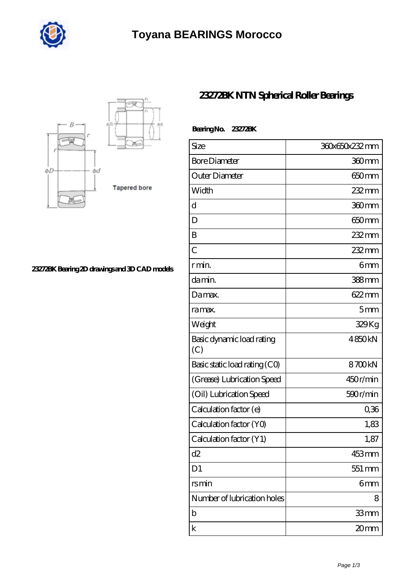



## **[23272BK Bearing 2D drawings and 3D CAD models](https://marriottsalalahresort.com/pic-1264646.html)**

## **[23272BK NTN Spherical Roller Bearings](https://marriottsalalahresort.com/spherical-roller-bearings/23272bk.html)**

| Bearing No. 23272BK              |                   |
|----------------------------------|-------------------|
| Size                             | 360x650x232mm     |
| <b>Bore Diameter</b>             | 360mm             |
| Outer Diameter                   | 650mm             |
| Width                            | 232 mm            |
| d                                | 360mm             |
| D                                | 650 <sub>mm</sub> |
| B                                | $232 \text{mm}$   |
| $\overline{C}$                   | 232mm             |
| r min.                           | 6mm               |
| damin.                           | 388mm             |
| Damax.                           | 622mm             |
| ra max.                          | 5mm               |
| Weight                           | 329Kg             |
| Basic dynamic load rating<br>(C) | 4850kN            |
| Basic static load rating (CO)    | 8700kN            |
| (Grease) Lubrication Speed       | 450r/min          |
| (Oil) Lubrication Speed          | 590r/min          |
| Calculation factor (e)           | 0,36              |
| Calculation factor (YO)          | 1,83              |
| Calculation factor (Y1)          | 1,87              |
| d2                               | 453mm             |
| D <sub>1</sub>                   | 551 mm            |
| rsmin                            | 6mm               |
| Number of lubrication holes      | 8                 |
| b                                | 33mm              |
| k                                | 20mm              |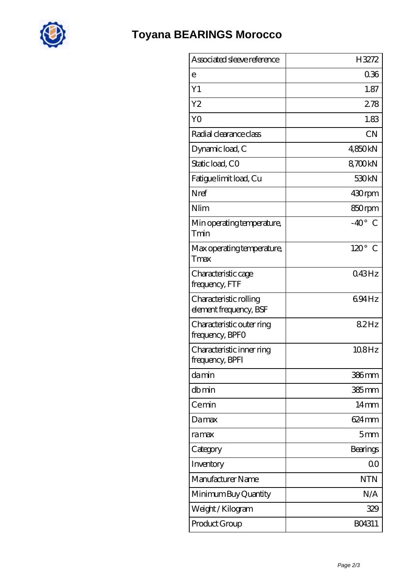

| 036<br>е<br>Y1<br>1.87<br>Y <sub>2</sub><br>278<br>Y <sub>O</sub><br>1.83<br>Radial clearance class<br><b>CN</b><br>4850kN<br>Dynamic load, C<br>Static load, CO<br>8700kN<br>530 <sub>kN</sub><br>Fatigue limit load, Cu<br>Nref<br>430rpm<br>Nlim<br>850rpm<br>$-40^{\circ}$ C<br>Min operating temperature,<br>Tmin<br>$120^\circ$ C<br>Max operating temperature,<br>Tmax<br>Characteristic cage<br>043Hz<br>frequency, FTF<br>694Hz<br>Characteristic rolling<br>element frequency, BSF<br>82Hz<br>Characteristic outer ring<br>frequency, BPFO<br>108Hz<br>Characteristic inner ring<br>frequency, BPFI<br>damin<br>$386$ mm<br>dbmin<br>$385$ mm<br>Cemin<br>$14 \text{mm}$<br>624 mm<br>Damax<br>5 <sub>mm</sub><br>ramax<br>Category<br>Bearings<br>0 <sub>0</sub><br>Inventory<br>Manufacturer Name<br><b>NTN</b><br>N/A<br>Minimum Buy Quantity<br>Weight / Kilogram<br>329<br>Product Group<br>BO4311 | Associated sleeve reference | H3272 |
|-------------------------------------------------------------------------------------------------------------------------------------------------------------------------------------------------------------------------------------------------------------------------------------------------------------------------------------------------------------------------------------------------------------------------------------------------------------------------------------------------------------------------------------------------------------------------------------------------------------------------------------------------------------------------------------------------------------------------------------------------------------------------------------------------------------------------------------------------------------------------------------------------------------------|-----------------------------|-------|
|                                                                                                                                                                                                                                                                                                                                                                                                                                                                                                                                                                                                                                                                                                                                                                                                                                                                                                                   |                             |       |
|                                                                                                                                                                                                                                                                                                                                                                                                                                                                                                                                                                                                                                                                                                                                                                                                                                                                                                                   |                             |       |
|                                                                                                                                                                                                                                                                                                                                                                                                                                                                                                                                                                                                                                                                                                                                                                                                                                                                                                                   |                             |       |
|                                                                                                                                                                                                                                                                                                                                                                                                                                                                                                                                                                                                                                                                                                                                                                                                                                                                                                                   |                             |       |
|                                                                                                                                                                                                                                                                                                                                                                                                                                                                                                                                                                                                                                                                                                                                                                                                                                                                                                                   |                             |       |
|                                                                                                                                                                                                                                                                                                                                                                                                                                                                                                                                                                                                                                                                                                                                                                                                                                                                                                                   |                             |       |
|                                                                                                                                                                                                                                                                                                                                                                                                                                                                                                                                                                                                                                                                                                                                                                                                                                                                                                                   |                             |       |
|                                                                                                                                                                                                                                                                                                                                                                                                                                                                                                                                                                                                                                                                                                                                                                                                                                                                                                                   |                             |       |
|                                                                                                                                                                                                                                                                                                                                                                                                                                                                                                                                                                                                                                                                                                                                                                                                                                                                                                                   |                             |       |
|                                                                                                                                                                                                                                                                                                                                                                                                                                                                                                                                                                                                                                                                                                                                                                                                                                                                                                                   |                             |       |
|                                                                                                                                                                                                                                                                                                                                                                                                                                                                                                                                                                                                                                                                                                                                                                                                                                                                                                                   |                             |       |
|                                                                                                                                                                                                                                                                                                                                                                                                                                                                                                                                                                                                                                                                                                                                                                                                                                                                                                                   |                             |       |
|                                                                                                                                                                                                                                                                                                                                                                                                                                                                                                                                                                                                                                                                                                                                                                                                                                                                                                                   |                             |       |
|                                                                                                                                                                                                                                                                                                                                                                                                                                                                                                                                                                                                                                                                                                                                                                                                                                                                                                                   |                             |       |
|                                                                                                                                                                                                                                                                                                                                                                                                                                                                                                                                                                                                                                                                                                                                                                                                                                                                                                                   |                             |       |
|                                                                                                                                                                                                                                                                                                                                                                                                                                                                                                                                                                                                                                                                                                                                                                                                                                                                                                                   |                             |       |
|                                                                                                                                                                                                                                                                                                                                                                                                                                                                                                                                                                                                                                                                                                                                                                                                                                                                                                                   |                             |       |
|                                                                                                                                                                                                                                                                                                                                                                                                                                                                                                                                                                                                                                                                                                                                                                                                                                                                                                                   |                             |       |
|                                                                                                                                                                                                                                                                                                                                                                                                                                                                                                                                                                                                                                                                                                                                                                                                                                                                                                                   |                             |       |
|                                                                                                                                                                                                                                                                                                                                                                                                                                                                                                                                                                                                                                                                                                                                                                                                                                                                                                                   |                             |       |
|                                                                                                                                                                                                                                                                                                                                                                                                                                                                                                                                                                                                                                                                                                                                                                                                                                                                                                                   |                             |       |
|                                                                                                                                                                                                                                                                                                                                                                                                                                                                                                                                                                                                                                                                                                                                                                                                                                                                                                                   |                             |       |
|                                                                                                                                                                                                                                                                                                                                                                                                                                                                                                                                                                                                                                                                                                                                                                                                                                                                                                                   |                             |       |
|                                                                                                                                                                                                                                                                                                                                                                                                                                                                                                                                                                                                                                                                                                                                                                                                                                                                                                                   |                             |       |
|                                                                                                                                                                                                                                                                                                                                                                                                                                                                                                                                                                                                                                                                                                                                                                                                                                                                                                                   |                             |       |
|                                                                                                                                                                                                                                                                                                                                                                                                                                                                                                                                                                                                                                                                                                                                                                                                                                                                                                                   |                             |       |
|                                                                                                                                                                                                                                                                                                                                                                                                                                                                                                                                                                                                                                                                                                                                                                                                                                                                                                                   |                             |       |